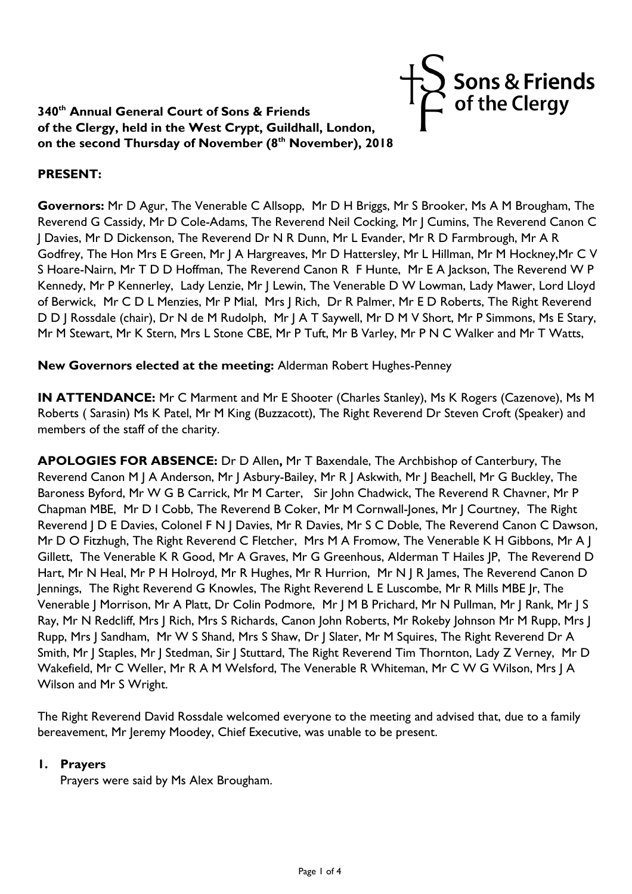# **340th Annual General Court of Sons & Friends of the Clergy, held in the West Crypt, Guildhall, London, on the second Thursday of November (8th November), 2018**

### **PRESENT:**

**Governors:** Mr D Agur, The Venerable C Allsopp, Mr D H Briggs, Mr S Brooker, Ms A M Brougham, The Reverend G Cassidy, Mr D Cole-Adams, The Reverend Neil Cocking, Mr J Cumins, The Reverend Canon C J Davies, Mr D Dickenson, The Reverend Dr N R Dunn, Mr L Evander, Mr R D Farmbrough, Mr A R Godfrey, The Hon Mrs E Green, Mr J A Hargreaves, Mr D Hattersley, Mr L Hillman, Mr M Hockney,Mr C V S Hoare-Nairn, Mr T D D Hoffman, The Reverend Canon R F Hunte, Mr E A Jackson, The Reverend W P Kennedy, Mr P Kennerley, Lady Lenzie, Mr J Lewin, The Venerable D W Lowman, Lady Mawer, Lord Lloyd of Berwick, Mr C D L Menzies, Mr P Mial, Mrs J Rich, Dr R Palmer, Mr E D Roberts, The Right Reverend D D J Rossdale (chair), Dr N de M Rudolph, Mr J A T Saywell, Mr D M V Short, Mr P Simmons, Ms E Stary, Mr M Stewart, Mr K Stern, Mrs L Stone CBE, Mr P Tuft, Mr B Varley, Mr P N C Walker and Mr T Watts,

Sons & Friends<br>,' of the Clergy

**New Governors elected at the meeting:** Alderman Robert Hughes-Penney

**IN ATTENDANCE:** Mr C Marment and Mr E Shooter (Charles Stanley), Ms K Rogers (Cazenove), Ms M Roberts ( Sarasin) Ms K Patel, Mr M King (Buzzacott), The Right Reverend Dr Steven Croft (Speaker) and members of the staff of the charity.

**APOLOGIES FOR ABSENCE:** Dr D Allen**,** Mr T Baxendale, The Archbishop of Canterbury, The Reverend Canon M J A Anderson, Mr J Asbury-Bailey, Mr R J Askwith, Mr J Beachell, Mr G Buckley, The Baroness Byford, Mr W G B Carrick, Mr M Carter, Sir John Chadwick, The Reverend R Chavner, Mr P Chapman MBE, Mr D I Cobb, The Reverend B Coker, Mr M Cornwall-Jones, Mr J Courtney, The Right Reverend J D E Davies, Colonel F N J Davies, Mr R Davies, Mr S C Doble, The Reverend Canon C Dawson, Mr D O Fitzhugh, The Right Reverend C Fletcher, Mrs M A Fromow, The Venerable K H Gibbons, Mr A J Gillett, The Venerable K R Good, Mr A Graves, Mr G Greenhous, Alderman T Hailes JP, The Reverend D Hart, Mr N Heal, Mr P H Holroyd, Mr R Hughes, Mr R Hurrion, Mr N | R James, The Reverend Canon D Jennings, The Right Reverend G Knowles, The Right Reverend L E Luscombe, Mr R Mills MBE Jr, The Venerable J Morrison, Mr A Platt, Dr Colin Podmore, Mr J M B Prichard, Mr N Pullman, Mr J Rank, Mr J S Ray, Mr N Redcliff, Mrs J Rich, Mrs S Richards, Canon John Roberts, Mr Rokeby Johnson Mr M Rupp, Mrs J Rupp, Mrs J Sandham, Mr W S Shand, Mrs S Shaw, Dr J Slater, Mr M Squires, The Right Reverend Dr A Smith, Mr J Staples, Mr J Stedman, Sir J Stuttard, The Right Reverend Tim Thornton, Lady Z Verney, Mr D Wakefield, Mr C Weller, Mr R A M Welsford, The Venerable R Whiteman, Mr C W G Wilson, Mrs J A Wilson and Mr S Wright.

The Right Reverend David Rossdale welcomed everyone to the meeting and advised that, due to a family bereavement, Mr Jeremy Moodey, Chief Executive, was unable to be present.

### **1. Prayers**

Prayers were said by Ms Alex Brougham.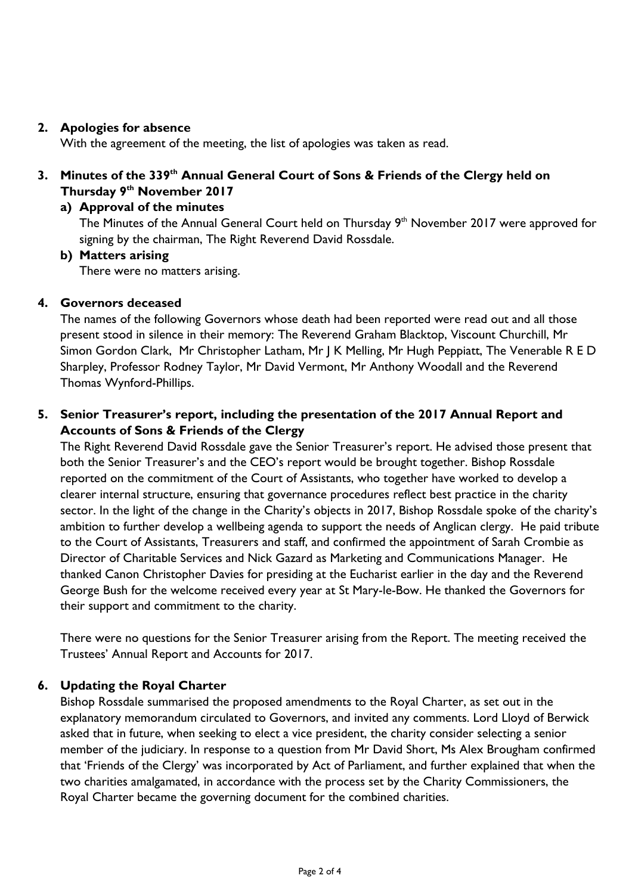### **2. Apologies for absence**

With the agreement of the meeting, the list of apologies was taken as read.

## **3. Minutes of the 339th Annual General Court of Sons & Friends of the Clergy held on Thursday 9th November 2017**

### **a) Approval of the minutes**

The Minutes of the Annual General Court held on Thursday 9<sup>th</sup> November 2017 were approved for signing by the chairman, The Right Reverend David Rossdale.

### **b) Matters arising**

There were no matters arising.

### **4. Governors deceased**

The names of the following Governors whose death had been reported were read out and all those present stood in silence in their memory: The Reverend Graham Blacktop, Viscount Churchill, Mr Simon Gordon Clark, Mr Christopher Latham, Mr J K Melling, Mr Hugh Peppiatt, The Venerable R E D Sharpley, Professor Rodney Taylor, Mr David Vermont, Mr Anthony Woodall and the Reverend Thomas Wynford-Phillips.

## **5. Senior Treasurer's report, including the presentation of the 2017 Annual Report and Accounts of Sons & Friends of the Clergy**

The Right Reverend David Rossdale gave the Senior Treasurer's report. He advised those present that both the Senior Treasurer's and the CEO's report would be brought together. Bishop Rossdale reported on the commitment of the Court of Assistants, who together have worked to develop a clearer internal structure, ensuring that governance procedures reflect best practice in the charity sector. In the light of the change in the Charity's objects in 2017, Bishop Rossdale spoke of the charity's ambition to further develop a wellbeing agenda to support the needs of Anglican clergy. He paid tribute to the Court of Assistants, Treasurers and staff, and confirmed the appointment of Sarah Crombie as Director of Charitable Services and Nick Gazard as Marketing and Communications Manager. He thanked Canon Christopher Davies for presiding at the Eucharist earlier in the day and the Reverend George Bush for the welcome received every year at St Mary-le-Bow. He thanked the Governors for their support and commitment to the charity.

There were no questions for the Senior Treasurer arising from the Report. The meeting received the Trustees' Annual Report and Accounts for 2017.

### **6. Updating the Royal Charter**

Bishop Rossdale summarised the proposed amendments to the Royal Charter, as set out in the explanatory memorandum circulated to Governors, and invited any comments. Lord Lloyd of Berwick asked that in future, when seeking to elect a vice president, the charity consider selecting a senior member of the judiciary. In response to a question from Mr David Short, Ms Alex Brougham confirmed that 'Friends of the Clergy' was incorporated by Act of Parliament, and further explained that when the two charities amalgamated, in accordance with the process set by the Charity Commissioners, the Royal Charter became the governing document for the combined charities.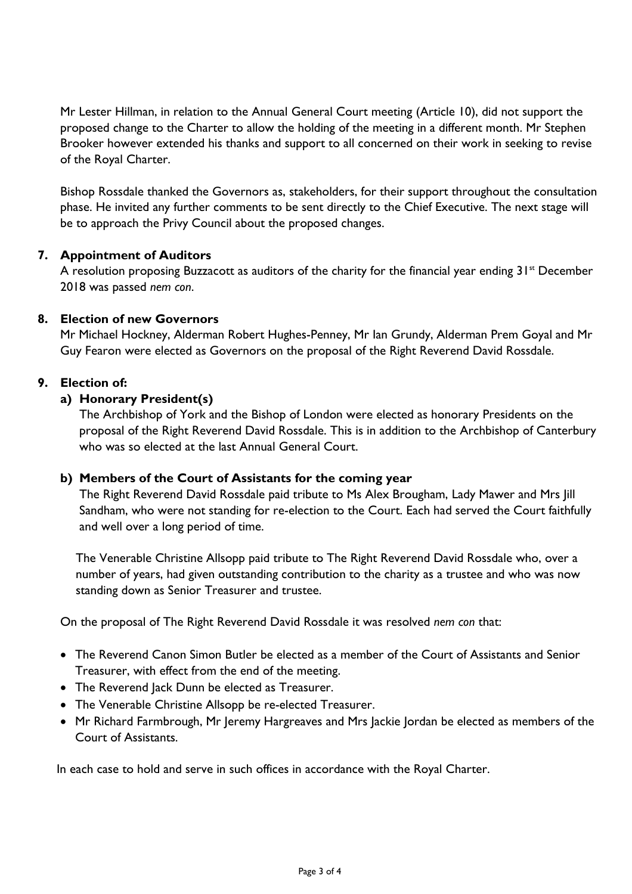Mr Lester Hillman, in relation to the Annual General Court meeting (Article 10), did not support the proposed change to the Charter to allow the holding of the meeting in a different month. Mr Stephen Brooker however extended his thanks and support to all concerned on their work in seeking to revise of the Royal Charter.

Bishop Rossdale thanked the Governors as, stakeholders, for their support throughout the consultation phase. He invited any further comments to be sent directly to the Chief Executive. The next stage will be to approach the Privy Council about the proposed changes.

### **7. Appointment of Auditors**

A resolution proposing Buzzacott as auditors of the charity for the financial year ending  $31<sup>st</sup>$  December 2018 was passed *nem con*.

### **8. Election of new Governors**

Mr Michael Hockney, Alderman Robert Hughes-Penney, Mr Ian Grundy, Alderman Prem Goyal and Mr Guy Fearon were elected as Governors on the proposal of the Right Reverend David Rossdale.

### **9. Election of:**

### **a) Honorary President(s)**

The Archbishop of York and the Bishop of London were elected as honorary Presidents on the proposal of the Right Reverend David Rossdale. This is in addition to the Archbishop of Canterbury who was so elected at the last Annual General Court.

### **b) Members of the Court of Assistants for the coming year**

The Right Reverend David Rossdale paid tribute to Ms Alex Brougham, Lady Mawer and Mrs Jill Sandham, who were not standing for re-election to the Court. Each had served the Court faithfully and well over a long period of time.

The Venerable Christine Allsopp paid tribute to The Right Reverend David Rossdale who, over a number of years, had given outstanding contribution to the charity as a trustee and who was now standing down as Senior Treasurer and trustee.

On the proposal of The Right Reverend David Rossdale it was resolved *nem con* that:

- The Reverend Canon Simon Butler be elected as a member of the Court of Assistants and Senior Treasurer, with effect from the end of the meeting.
- The Reverend Jack Dunn be elected as Treasurer.
- The Venerable Christine Allsopp be re-elected Treasurer.
- Mr Richard Farmbrough, Mr Jeremy Hargreaves and Mrs Jackie Jordan be elected as members of the Court of Assistants.

In each case to hold and serve in such offices in accordance with the Royal Charter.